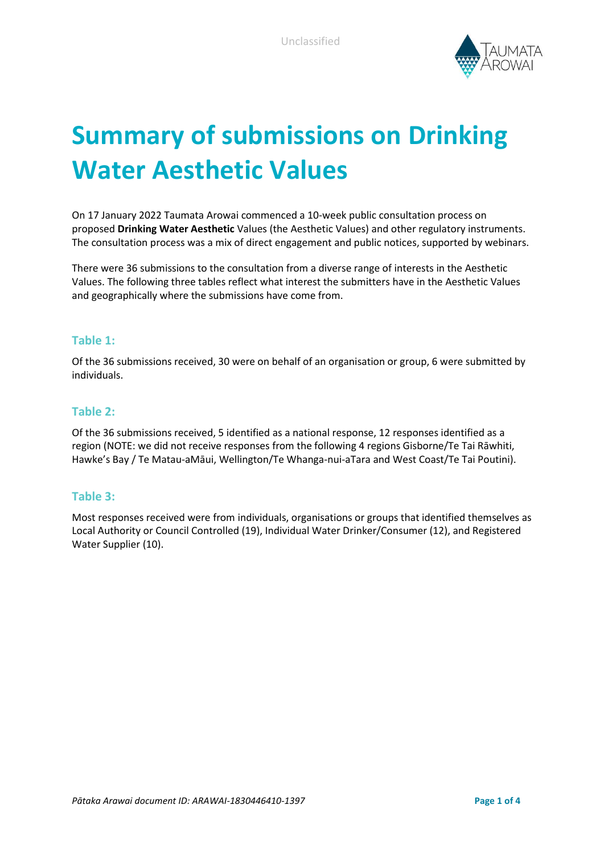

# **Summary of submissions on Drinking Water Aesthetic Values**

On 17 January 2022 Taumata Arowai commenced a 10-week public consultation process on proposed **Drinking Water Aesthetic** Values (the Aesthetic Values) and other regulatory instruments. The consultation process was a mix of direct engagement and public notices, supported by webinars.

There were 36 submissions to the consultation from a diverse range of interests in the Aesthetic Values. The following three tables reflect what interest the submitters have in the Aesthetic Values and geographically where the submissions have come from.

#### **Table 1:**

Of the 36 submissions received, 30 were on behalf of an organisation or group, 6 were submitted by individuals.

#### **Table 2:**

Of the 36 submissions received, 5 identified as a national response, 12 responses identified as a region (NOTE: we did not receive responses from the following 4 regions Gisborne/Te Tai Rāwhiti, Hawke's Bay / Te Matau-aMāui, Wellington/Te Whanga-nui-aTara and West Coast/Te Tai Poutini).

### **Table 3:**

Most responses received were from individuals, organisations or groups that identified themselves as Local Authority or Council Controlled (19), Individual Water Drinker/Consumer (12), and Registered Water Supplier (10).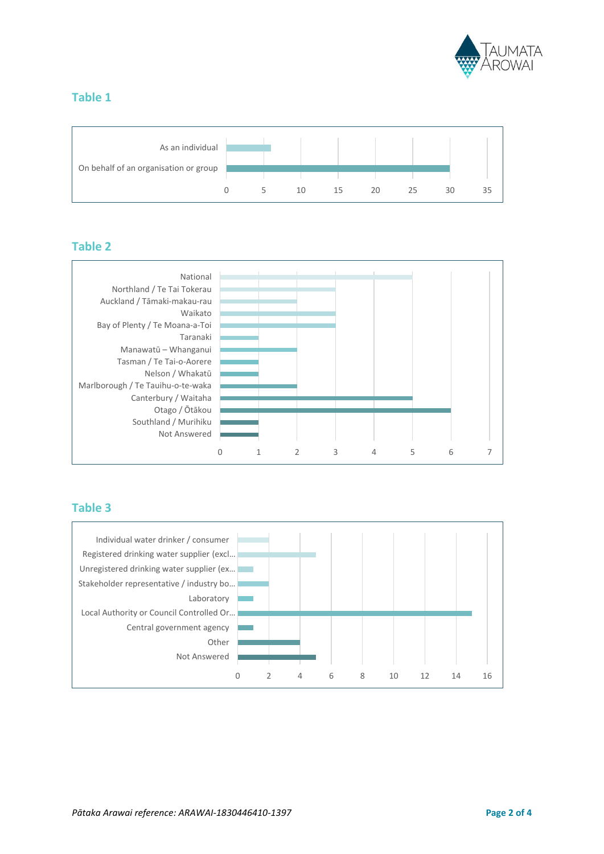

## **Table 1**



## **Table 2**



## **Table 3**

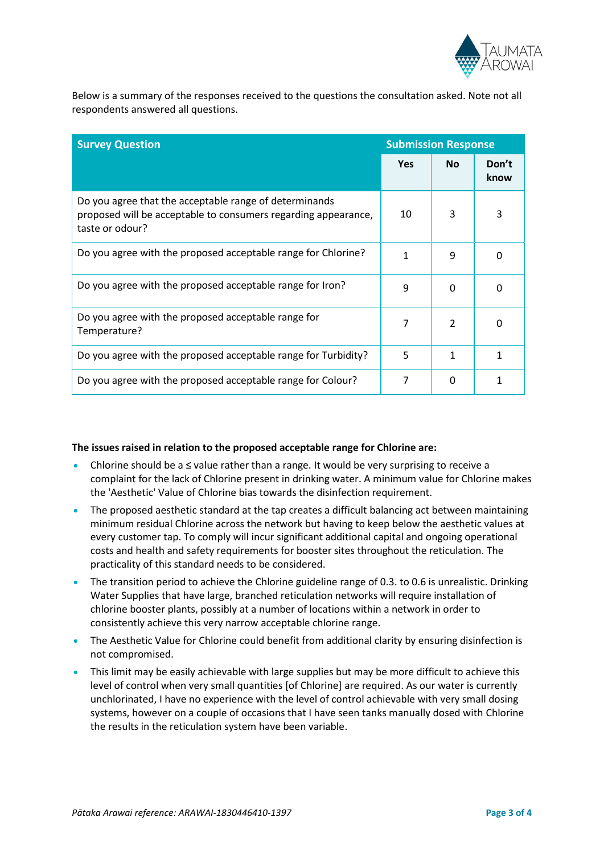

Below is a summary of the responses received to the questions the consultation asked. Note not all respondents answered all questions.

| <b>Survey Question</b>                                                                                                                      | <b>Submission Response</b> |               |               |
|---------------------------------------------------------------------------------------------------------------------------------------------|----------------------------|---------------|---------------|
|                                                                                                                                             | <b>Yes</b>                 | <b>No</b>     | Don't<br>know |
| Do you agree that the acceptable range of determinands<br>proposed will be acceptable to consumers regarding appearance,<br>taste or odour? | 10                         | 3             | 3             |
| Do you agree with the proposed acceptable range for Chlorine?                                                                               | 1                          | 9             | O             |
| Do you agree with the proposed acceptable range for Iron?                                                                                   | 9                          | $\Omega$      | ŋ             |
| Do you agree with the proposed acceptable range for<br>Temperature?                                                                         | 7                          | $\mathcal{P}$ | O             |
| Do you agree with the proposed acceptable range for Turbidity?                                                                              | 5                          | 1             | 1             |
| Do you agree with the proposed acceptable range for Colour?                                                                                 | 7                          | <sup>0</sup>  |               |

#### **The issues raised in relation to the proposed acceptable range for Chlorine are:**

- Chlorine should be a ≤ value rather than a range. It would be very surprising to receive a complaint for the lack of Chlorine present in drinking water. A minimum value for Chlorine makes the 'Aesthetic' Value of Chlorine bias towards the disinfection requirement.
- The proposed aesthetic standard at the tap creates a difficult balancing act between maintaining minimum residual Chlorine across the network but having to keep below the aesthetic values at every customer tap. To comply will incur significant additional capital and ongoing operational costs and health and safety requirements for booster sites throughout the reticulation. The practicality of this standard needs to be considered.
- The transition period to achieve the Chlorine guideline range of 0.3. to 0.6 is unrealistic. Drinking Water Supplies that have large, branched reticulation networks will require installation of chlorine booster plants, possibly at a number of locations within a network in order to consistently achieve this very narrow acceptable chlorine range.
- The Aesthetic Value for Chlorine could benefit from additional clarity by ensuring disinfection is not compromised.
- This limit may be easily achievable with large supplies but may be more difficult to achieve this level of control when very small quantities [of Chlorine] are required. As our water is currently unchlorinated, I have no experience with the level of control achievable with very small dosing systems, however on a couple of occasions that I have seen tanks manually dosed with Chlorine the results in the reticulation system have been variable.